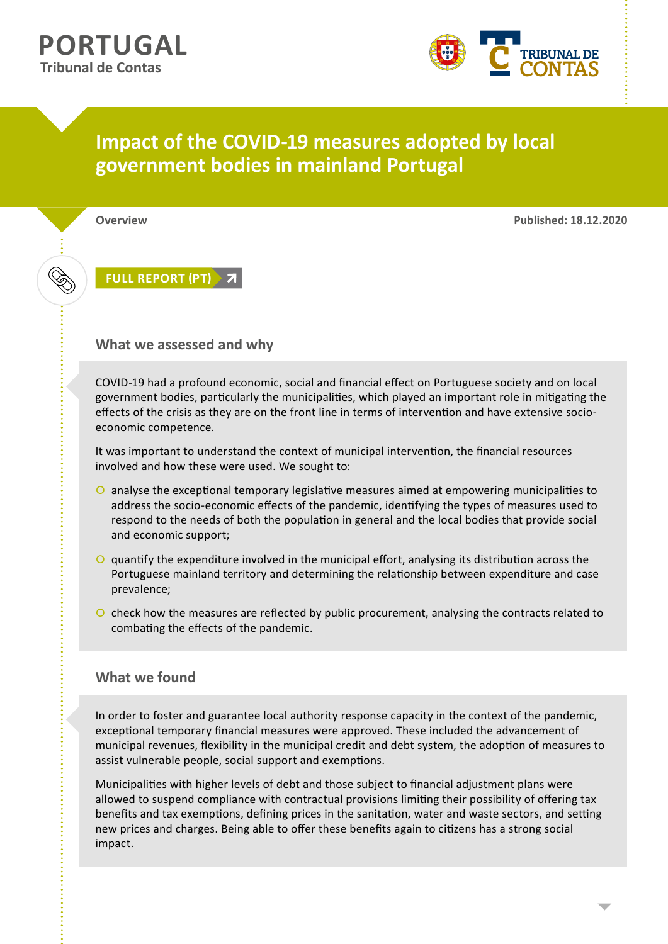

# **Impact of the COVID-19 measures adopted by local government bodies in mainland Portugal**

**Overview Published: 18.12.2020**

## **[FULL REPORT \(PT\)](https://login.zscalertwo.net/smsamlq?urlosfc=origurl%3Dhttps%253A%252F%252Fwww%252etcontas%252ept%252fpt%252dpt%252fProdutosTC%252fRelatorios%252frelatorios%252doac%252fDocuments%252f2020%252frelatorio%252doac%252d2020%252d07%252epdf%26wexps%3D1%26_ordtok%3Dj543WV3mkrHhHTs0jN57v5MqcH%26wexps%3D1&urlodmn=https%253A%252F%252Fwww%252etcontas%252ept%252fpt%252dpt%252fProdutosTC%252fRelatorios%252frelatorios%252doac%252fDocuments%252f2020%252frelatorio%252doac%252d2020%252d07%252epdf&saml_id=KJQQbVh5n4hKN&samlidp=0000000000000000&jscript=1set)**

#### **What we assessed and why**

COVID-19 had a profound economic, social and financial effect on Portuguese society and on local government bodies, particularly the municipalities, which played an important role in mitigating the effects of the crisis as they are on the front line in terms of intervention and have extensive socioeconomic competence.

It was important to understand the context of municipal intervention, the financial resources involved and how these were used. We sought to:

- $\circ$  analyse the exceptional temporary legislative measures aimed at empowering municipalities to address the socio-economic effects of the pandemic, identifying the types of measures used to respond to the needs of both the population in general and the local bodies that provide social and economic support;
- $\circ$  quantify the expenditure involved in the municipal effort, analysing its distribution across the Portuguese mainland territory and determining the relationship between expenditure and case prevalence;
- O check how the measures are reflected by public procurement, analysing the contracts related to combating the effects of the pandemic.

### **What we found**

In order to foster and guarantee local authority response capacity in the context of the pandemic, exceptional temporary financial measures were approved. These included the advancement of municipal revenues, flexibility in the municipal credit and debt system, the adoption of measures to assist vulnerable people, social support and exemptions.

Municipalities with higher levels of debt and those subject to financial adjustment plans were allowed to suspend compliance with contractual provisions limiting their possibility of offering tax benefits and tax exemptions, defining prices in the sanitation, water and waste sectors, and setting new prices and charges. Being able to offer these benefits again to citizens has a strong social impact.